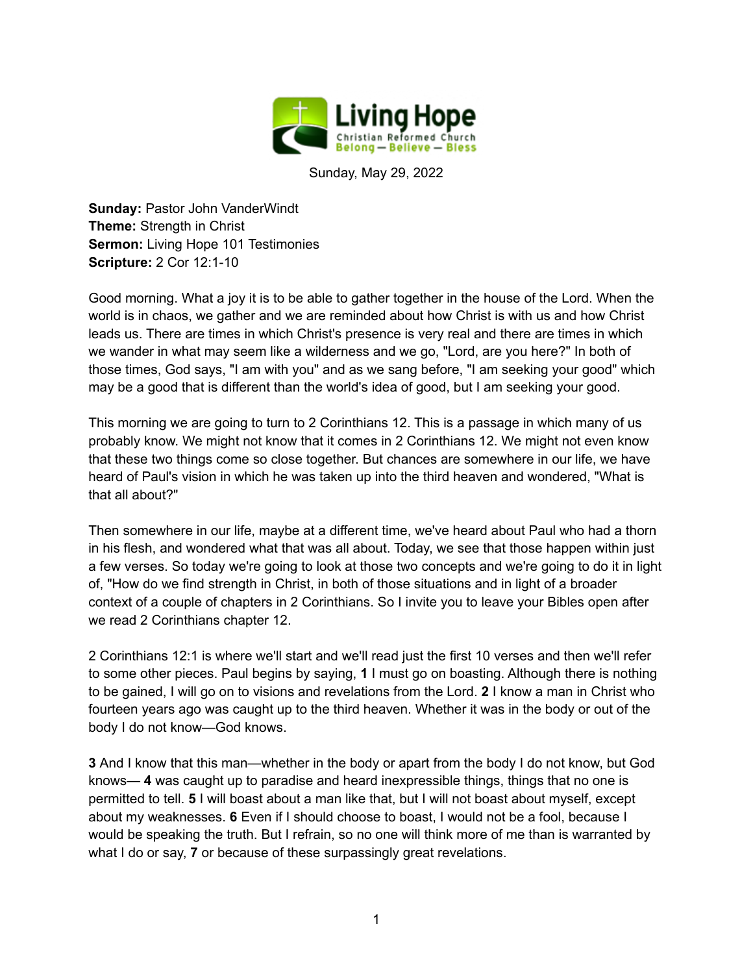

Sunday, May 29, 2022

**Sunday:** Pastor John VanderWindt **Theme:** Strength in Christ **Sermon:** Living Hope 101 Testimonies **Scripture:** 2 Cor 12:1-10

Good morning. What a joy it is to be able to gather together in the house of the Lord. When the world is in chaos, we gather and we are reminded about how Christ is with us and how Christ leads us. There are times in which Christ's presence is very real and there are times in which we wander in what may seem like a wilderness and we go, "Lord, are you here?" In both of those times, God says, "I am with you" and as we sang before, "I am seeking your good" which may be a good that is different than the world's idea of good, but I am seeking your good.

This morning we are going to turn to 2 Corinthians 12. This is a passage in which many of us probably know. We might not know that it comes in 2 Corinthians 12. We might not even know that these two things come so close together. But chances are somewhere in our life, we have heard of Paul's vision in which he was taken up into the third heaven and wondered, "What is that all about?"

Then somewhere in our life, maybe at a different time, we've heard about Paul who had a thorn in his flesh, and wondered what that was all about. Today, we see that those happen within just a few verses. So today we're going to look at those two concepts and we're going to do it in light of, "How do we find strength in Christ, in both of those situations and in light of a broader context of a couple of chapters in 2 Corinthians. So I invite you to leave your Bibles open after we read 2 Corinthians chapter 12.

2 Corinthians 12:1 is where we'll start and we'll read just the first 10 verses and then we'll refer to some other pieces. Paul begins by saying, **1** I must go on boasting. Although there is nothing to be gained, I will go on to visions and revelations from the Lord. **2** I know a man in Christ who fourteen years ago was caught up to the third heaven. Whether it was in the body or out of the body I do not know—God knows.

**3** And I know that this man—whether in the body or apart from the body I do not know, but God knows— **4** was caught up to paradise and heard inexpressible things, things that no one is permitted to tell. **5** I will boast about a man like that, but I will not boast about myself, except about my weaknesses. **6** Even if I should choose to boast, I would not be a fool, because I would be speaking the truth. But I refrain, so no one will think more of me than is warranted by what I do or say, **7** or because of these surpassingly great revelations.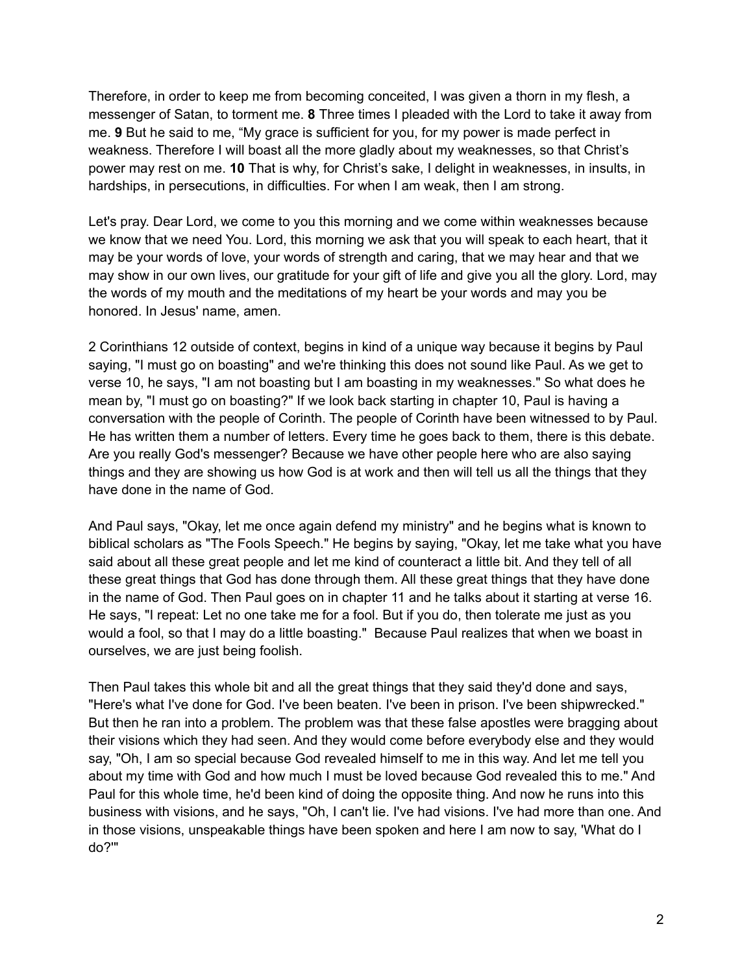Therefore, in order to keep me from becoming conceited, I was given a thorn in my flesh, a messenger of Satan, to torment me. **8** Three times I pleaded with the Lord to take it away from me. **9** But he said to me, "My grace is sufficient for you, for my power is made perfect in weakness. Therefore I will boast all the more gladly about my weaknesses, so that Christ's power may rest on me. **10** That is why, for Christ's sake, I delight in weaknesses, in insults, in hardships, in persecutions, in difficulties. For when I am weak, then I am strong.

Let's pray. Dear Lord, we come to you this morning and we come within weaknesses because we know that we need You. Lord, this morning we ask that you will speak to each heart, that it may be your words of love, your words of strength and caring, that we may hear and that we may show in our own lives, our gratitude for your gift of life and give you all the glory. Lord, may the words of my mouth and the meditations of my heart be your words and may you be honored. In Jesus' name, amen.

2 Corinthians 12 outside of context, begins in kind of a unique way because it begins by Paul saying, "I must go on boasting" and we're thinking this does not sound like Paul. As we get to verse 10, he says, "I am not boasting but I am boasting in my weaknesses." So what does he mean by, "I must go on boasting?" If we look back starting in chapter 10, Paul is having a conversation with the people of Corinth. The people of Corinth have been witnessed to by Paul. He has written them a number of letters. Every time he goes back to them, there is this debate. Are you really God's messenger? Because we have other people here who are also saying things and they are showing us how God is at work and then will tell us all the things that they have done in the name of God.

And Paul says, "Okay, let me once again defend my ministry" and he begins what is known to biblical scholars as "The Fools Speech." He begins by saying, "Okay, let me take what you have said about all these great people and let me kind of counteract a little bit. And they tell of all these great things that God has done through them. All these great things that they have done in the name of God. Then Paul goes on in chapter 11 and he talks about it starting at verse 16. He says, "I repeat: Let no one take me for a fool. But if you do, then tolerate me just as you would a fool, so that I may do a little boasting." Because Paul realizes that when we boast in ourselves, we are just being foolish.

Then Paul takes this whole bit and all the great things that they said they'd done and says, "Here's what I've done for God. I've been beaten. I've been in prison. I've been shipwrecked." But then he ran into a problem. The problem was that these false apostles were bragging about their visions which they had seen. And they would come before everybody else and they would say, "Oh, I am so special because God revealed himself to me in this way. And let me tell you about my time with God and how much I must be loved because God revealed this to me." And Paul for this whole time, he'd been kind of doing the opposite thing. And now he runs into this business with visions, and he says, "Oh, I can't lie. I've had visions. I've had more than one. And in those visions, unspeakable things have been spoken and here I am now to say, 'What do I do?'"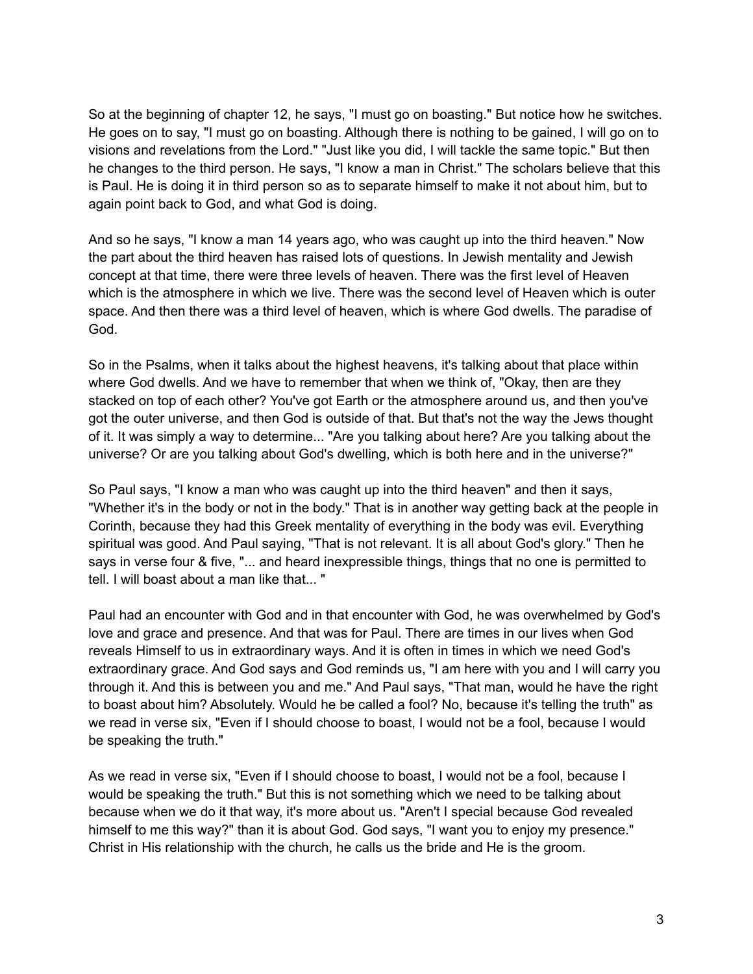So at the beginning of chapter 12, he says, "I must go on boasting." But notice how he switches. He goes on to say, "I must go on boasting. Although there is nothing to be gained, I will go on to visions and revelations from the Lord." "Just like you did, I will tackle the same topic." But then he changes to the third person. He says, "I know a man in Christ." The scholars believe that this is Paul. He is doing it in third person so as to separate himself to make it not about him, but to again point back to God, and what God is doing.

And so he says, "I know a man 14 years ago, who was caught up into the third heaven." Now the part about the third heaven has raised lots of questions. In Jewish mentality and Jewish concept at that time, there were three levels of heaven. There was the first level of Heaven which is the atmosphere in which we live. There was the second level of Heaven which is outer space. And then there was a third level of heaven, which is where God dwells. The paradise of God.

So in the Psalms, when it talks about the highest heavens, it's talking about that place within where God dwells. And we have to remember that when we think of, "Okay, then are they stacked on top of each other? You've got Earth or the atmosphere around us, and then you've got the outer universe, and then God is outside of that. But that's not the way the Jews thought of it. It was simply a way to determine... "Are you talking about here? Are you talking about the universe? Or are you talking about God's dwelling, which is both here and in the universe?"

So Paul says, "I know a man who was caught up into the third heaven" and then it says, "Whether it's in the body or not in the body." That is in another way getting back at the people in Corinth, because they had this Greek mentality of everything in the body was evil. Everything spiritual was good. And Paul saying, "That is not relevant. It is all about God's glory." Then he says in verse four & five, "... and heard inexpressible things, things that no one is permitted to tell. I will boast about a man like that... "

Paul had an encounter with God and in that encounter with God, he was overwhelmed by God's love and grace and presence. And that was for Paul. There are times in our lives when God reveals Himself to us in extraordinary ways. And it is often in times in which we need God's extraordinary grace. And God says and God reminds us, "I am here with you and I will carry you through it. And this is between you and me." And Paul says, "That man, would he have the right to boast about him? Absolutely. Would he be called a fool? No, because it's telling the truth" as we read in verse six, "Even if I should choose to boast, I would not be a fool, because I would be speaking the truth."

As we read in verse six, "Even if I should choose to boast, I would not be a fool, because I would be speaking the truth." But this is not something which we need to be talking about because when we do it that way, it's more about us. "Aren't I special because God revealed himself to me this way?" than it is about God. God says, "I want you to enjoy my presence." Christ in His relationship with the church, he calls us the bride and He is the groom.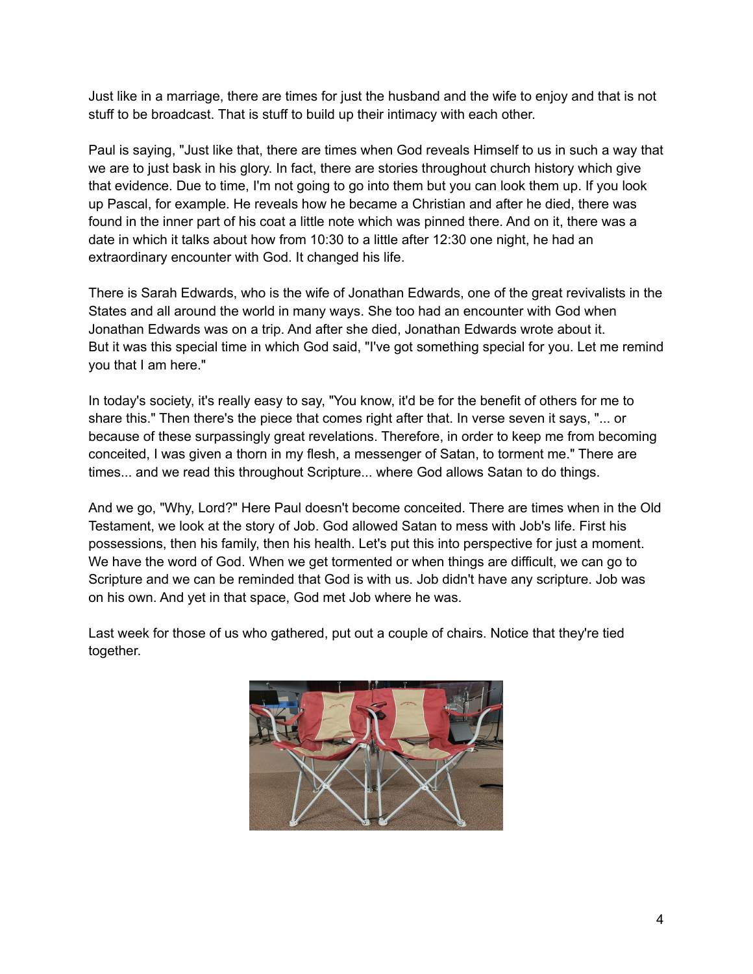Just like in a marriage, there are times for just the husband and the wife to enjoy and that is not stuff to be broadcast. That is stuff to build up their intimacy with each other.

Paul is saying, "Just like that, there are times when God reveals Himself to us in such a way that we are to just bask in his glory. In fact, there are stories throughout church history which give that evidence. Due to time, I'm not going to go into them but you can look them up. If you look up Pascal, for example. He reveals how he became a Christian and after he died, there was found in the inner part of his coat a little note which was pinned there. And on it, there was a date in which it talks about how from 10:30 to a little after 12:30 one night, he had an extraordinary encounter with God. It changed his life.

There is Sarah Edwards, who is the wife of Jonathan Edwards, one of the great revivalists in the States and all around the world in many ways. She too had an encounter with God when Jonathan Edwards was on a trip. And after she died, Jonathan Edwards wrote about it. But it was this special time in which God said, "I've got something special for you. Let me remind you that I am here."

In today's society, it's really easy to say, "You know, it'd be for the benefit of others for me to share this." Then there's the piece that comes right after that. In verse seven it says, "... or because of these surpassingly great revelations. Therefore, in order to keep me from becoming conceited, I was given a thorn in my flesh, a messenger of Satan, to torment me." There are times... and we read this throughout Scripture... where God allows Satan to do things.

And we go, "Why, Lord?" Here Paul doesn't become conceited. There are times when in the Old Testament, we look at the story of Job. God allowed Satan to mess with Job's life. First his possessions, then his family, then his health. Let's put this into perspective for just a moment. We have the word of God. When we get tormented or when things are difficult, we can go to Scripture and we can be reminded that God is with us. Job didn't have any scripture. Job was on his own. And yet in that space, God met Job where he was.

Last week for those of us who gathered, put out a couple of chairs. Notice that they're tied together.

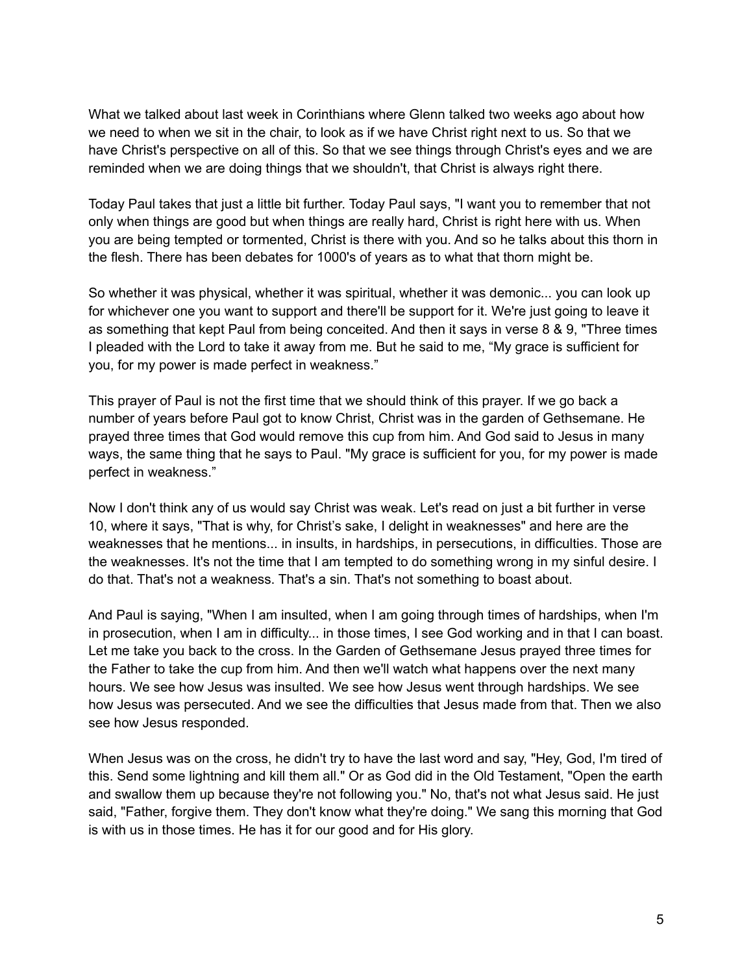What we talked about last week in Corinthians where Glenn talked two weeks ago about how we need to when we sit in the chair, to look as if we have Christ right next to us. So that we have Christ's perspective on all of this. So that we see things through Christ's eyes and we are reminded when we are doing things that we shouldn't, that Christ is always right there.

Today Paul takes that just a little bit further. Today Paul says, "I want you to remember that not only when things are good but when things are really hard, Christ is right here with us. When you are being tempted or tormented, Christ is there with you. And so he talks about this thorn in the flesh. There has been debates for 1000's of years as to what that thorn might be.

So whether it was physical, whether it was spiritual, whether it was demonic... you can look up for whichever one you want to support and there'll be support for it. We're just going to leave it as something that kept Paul from being conceited. And then it says in verse 8 & 9, "Three times I pleaded with the Lord to take it away from me. But he said to me, "My grace is sufficient for you, for my power is made perfect in weakness."

This prayer of Paul is not the first time that we should think of this prayer. If we go back a number of years before Paul got to know Christ, Christ was in the garden of Gethsemane. He prayed three times that God would remove this cup from him. And God said to Jesus in many ways, the same thing that he says to Paul. "My grace is sufficient for you, for my power is made perfect in weakness."

Now I don't think any of us would say Christ was weak. Let's read on just a bit further in verse 10, where it says, "That is why, for Christ's sake, I delight in weaknesses" and here are the weaknesses that he mentions... in insults, in hardships, in persecutions, in difficulties. Those are the weaknesses. It's not the time that I am tempted to do something wrong in my sinful desire. I do that. That's not a weakness. That's a sin. That's not something to boast about.

And Paul is saying, "When I am insulted, when I am going through times of hardships, when I'm in prosecution, when I am in difficulty... in those times, I see God working and in that I can boast. Let me take you back to the cross. In the Garden of Gethsemane Jesus prayed three times for the Father to take the cup from him. And then we'll watch what happens over the next many hours. We see how Jesus was insulted. We see how Jesus went through hardships. We see how Jesus was persecuted. And we see the difficulties that Jesus made from that. Then we also see how Jesus responded.

When Jesus was on the cross, he didn't try to have the last word and say, "Hey, God, I'm tired of this. Send some lightning and kill them all." Or as God did in the Old Testament, "Open the earth and swallow them up because they're not following you." No, that's not what Jesus said. He just said, "Father, forgive them. They don't know what they're doing." We sang this morning that God is with us in those times. He has it for our good and for His glory.